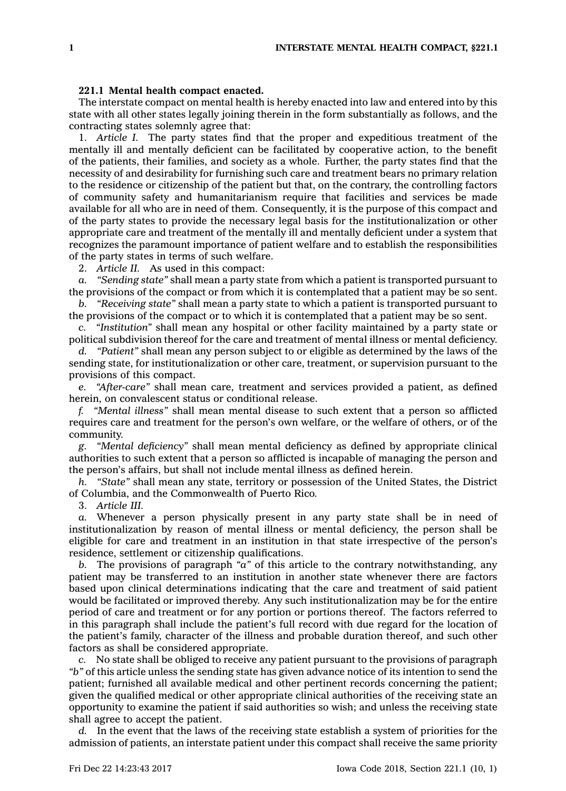## **221.1 Mental health compact enacted.**

The interstate compact on mental health is hereby enacted into law and entered into by this state with all other states legally joining therein in the form substantially as follows, and the contracting states solemnly agree that:

1. *Article I.* The party states find that the proper and expeditious treatment of the mentally ill and mentally deficient can be facilitated by cooperative action, to the benefit of the patients, their families, and society as <sup>a</sup> whole. Further, the party states find that the necessity of and desirability for furnishing such care and treatment bears no primary relation to the residence or citizenship of the patient but that, on the contrary, the controlling factors of community safety and humanitarianism require that facilities and services be made available for all who are in need of them. Consequently, it is the purpose of this compact and of the party states to provide the necessary legal basis for the institutionalization or other appropriate care and treatment of the mentally ill and mentally deficient under <sup>a</sup> system that recognizes the paramount importance of patient welfare and to establish the responsibilities of the party states in terms of such welfare.

2. *Article II.* As used in this compact:

*a. "Sending state"* shall mean <sup>a</sup> party state from which <sup>a</sup> patient is transported pursuant to the provisions of the compact or from which it is contemplated that <sup>a</sup> patient may be so sent.

*b. "Receiving state"* shall mean <sup>a</sup> party state to which <sup>a</sup> patient is transported pursuant to the provisions of the compact or to which it is contemplated that <sup>a</sup> patient may be so sent.

*c. "Institution"* shall mean any hospital or other facility maintained by <sup>a</sup> party state or political subdivision thereof for the care and treatment of mental illness or mental deficiency.

*d. "Patient"* shall mean any person subject to or eligible as determined by the laws of the sending state, for institutionalization or other care, treatment, or supervision pursuant to the provisions of this compact.

*e. "After-care"* shall mean care, treatment and services provided <sup>a</sup> patient, as defined herein, on convalescent status or conditional release.

*f. "Mental illness"* shall mean mental disease to such extent that <sup>a</sup> person so afflicted requires care and treatment for the person's own welfare, or the welfare of others, or of the community.

*g. "Mental deficiency"* shall mean mental deficiency as defined by appropriate clinical authorities to such extent that <sup>a</sup> person so afflicted is incapable of managing the person and the person's affairs, but shall not include mental illness as defined herein.

*h. "State"* shall mean any state, territory or possession of the United States, the District of Columbia, and the Commonwealth of Puerto Rico.

3. *Article III.*

*a.* Whenever <sup>a</sup> person physically present in any party state shall be in need of institutionalization by reason of mental illness or mental deficiency, the person shall be eligible for care and treatment in an institution in that state irrespective of the person's residence, settlement or citizenship qualifications.

*b.* The provisions of paragraph *"a"* of this article to the contrary notwithstanding, any patient may be transferred to an institution in another state whenever there are factors based upon clinical determinations indicating that the care and treatment of said patient would be facilitated or improved thereby. Any such institutionalization may be for the entire period of care and treatment or for any portion or portions thereof. The factors referred to in this paragraph shall include the patient's full record with due regard for the location of the patient's family, character of the illness and probable duration thereof, and such other factors as shall be considered appropriate.

*c.* No state shall be obliged to receive any patient pursuant to the provisions of paragraph *"b"* of this article unless the sending state has given advance notice of its intention to send the patient; furnished all available medical and other pertinent records concerning the patient; given the qualified medical or other appropriate clinical authorities of the receiving state an opportunity to examine the patient if said authorities so wish; and unless the receiving state shall agree to accept the patient.

*d.* In the event that the laws of the receiving state establish <sup>a</sup> system of priorities for the admission of patients, an interstate patient under this compact shall receive the same priority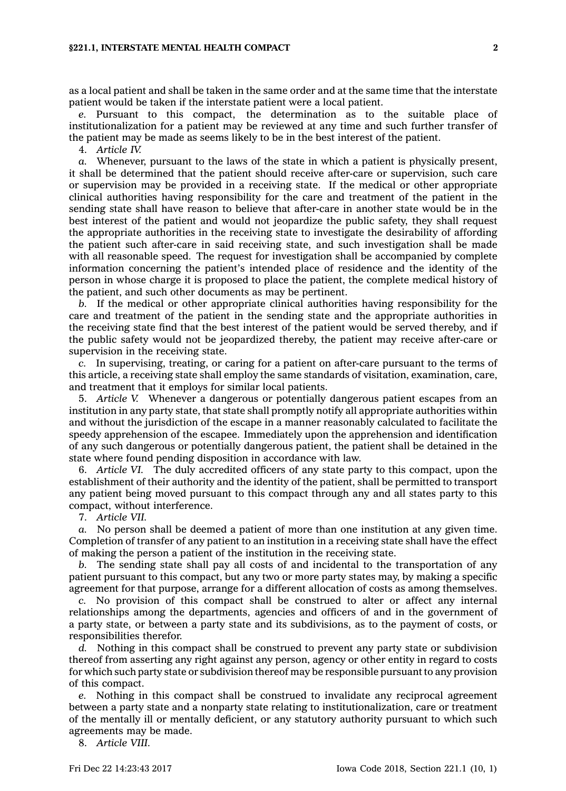## **§221.1, INTERSTATE MENTAL HEALTH COMPACT 2**

as <sup>a</sup> local patient and shall be taken in the same order and at the same time that the interstate patient would be taken if the interstate patient were <sup>a</sup> local patient.

*e.* Pursuant to this compact, the determination as to the suitable place of institutionalization for <sup>a</sup> patient may be reviewed at any time and such further transfer of the patient may be made as seems likely to be in the best interest of the patient.

4. *Article IV.*

*a.* Whenever, pursuant to the laws of the state in which <sup>a</sup> patient is physically present, it shall be determined that the patient should receive after-care or supervision, such care or supervision may be provided in <sup>a</sup> receiving state. If the medical or other appropriate clinical authorities having responsibility for the care and treatment of the patient in the sending state shall have reason to believe that after-care in another state would be in the best interest of the patient and would not jeopardize the public safety, they shall request the appropriate authorities in the receiving state to investigate the desirability of affording the patient such after-care in said receiving state, and such investigation shall be made with all reasonable speed. The request for investigation shall be accompanied by complete information concerning the patient's intended place of residence and the identity of the person in whose charge it is proposed to place the patient, the complete medical history of the patient, and such other documents as may be pertinent.

*b.* If the medical or other appropriate clinical authorities having responsibility for the care and treatment of the patient in the sending state and the appropriate authorities in the receiving state find that the best interest of the patient would be served thereby, and if the public safety would not be jeopardized thereby, the patient may receive after-care or supervision in the receiving state.

*c.* In supervising, treating, or caring for <sup>a</sup> patient on after-care pursuant to the terms of this article, <sup>a</sup> receiving state shall employ the same standards of visitation, examination, care, and treatment that it employs for similar local patients.

5. *Article V.* Whenever <sup>a</sup> dangerous or potentially dangerous patient escapes from an institution in any party state, that state shall promptly notify all appropriate authorities within and without the jurisdiction of the escape in <sup>a</sup> manner reasonably calculated to facilitate the speedy apprehension of the escapee. Immediately upon the apprehension and identification of any such dangerous or potentially dangerous patient, the patient shall be detained in the state where found pending disposition in accordance with law.

6. *Article VI.* The duly accredited officers of any state party to this compact, upon the establishment of their authority and the identity of the patient, shall be permitted to transport any patient being moved pursuant to this compact through any and all states party to this compact, without interference.

7. *Article VII.*

*a.* No person shall be deemed <sup>a</sup> patient of more than one institution at any given time. Completion of transfer of any patient to an institution in <sup>a</sup> receiving state shall have the effect of making the person <sup>a</sup> patient of the institution in the receiving state.

*b.* The sending state shall pay all costs of and incidental to the transportation of any patient pursuant to this compact, but any two or more party states may, by making <sup>a</sup> specific agreement for that purpose, arrange for <sup>a</sup> different allocation of costs as among themselves.

*c.* No provision of this compact shall be construed to alter or affect any internal relationships among the departments, agencies and officers of and in the government of <sup>a</sup> party state, or between <sup>a</sup> party state and its subdivisions, as to the payment of costs, or responsibilities therefor.

*d.* Nothing in this compact shall be construed to prevent any party state or subdivision thereof from asserting any right against any person, agency or other entity in regard to costs for which such party state or subdivision thereof may be responsible pursuant to any provision of this compact.

*e.* Nothing in this compact shall be construed to invalidate any reciprocal agreement between <sup>a</sup> party state and <sup>a</sup> nonparty state relating to institutionalization, care or treatment of the mentally ill or mentally deficient, or any statutory authority pursuant to which such agreements may be made.

8. *Article VIII.*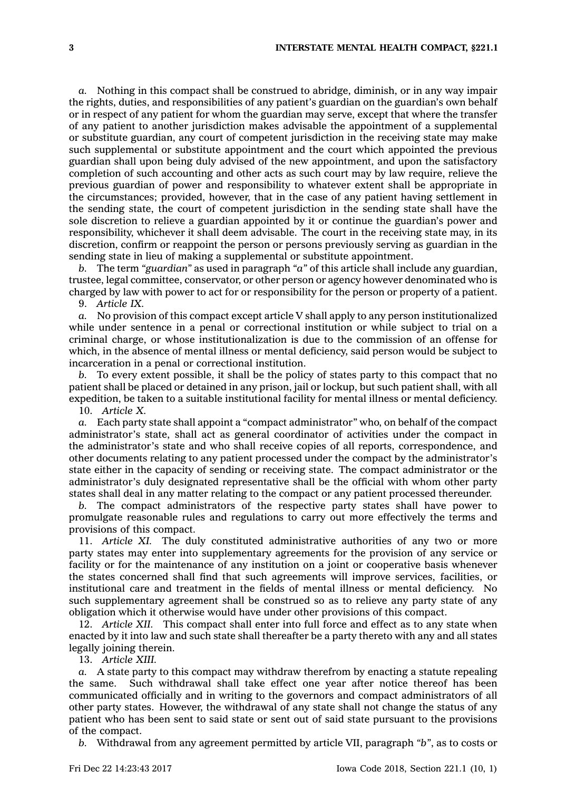*a.* Nothing in this compact shall be construed to abridge, diminish, or in any way impair the rights, duties, and responsibilities of any patient's guardian on the guardian's own behalf or in respect of any patient for whom the guardian may serve, except that where the transfer of any patient to another jurisdiction makes advisable the appointment of <sup>a</sup> supplemental or substitute guardian, any court of competent jurisdiction in the receiving state may make such supplemental or substitute appointment and the court which appointed the previous guardian shall upon being duly advised of the new appointment, and upon the satisfactory completion of such accounting and other acts as such court may by law require, relieve the previous guardian of power and responsibility to whatever extent shall be appropriate in the circumstances; provided, however, that in the case of any patient having settlement in the sending state, the court of competent jurisdiction in the sending state shall have the sole discretion to relieve <sup>a</sup> guardian appointed by it or continue the guardian's power and responsibility, whichever it shall deem advisable. The court in the receiving state may, in its discretion, confirm or reappoint the person or persons previously serving as guardian in the sending state in lieu of making <sup>a</sup> supplemental or substitute appointment.

*b.* The term *"guardian"* as used in paragraph *"a"* of this article shall include any guardian, trustee, legal committee, conservator, or other person or agency however denominated who is charged by law with power to act for or responsibility for the person or property of <sup>a</sup> patient. 9. *Article IX.*

*a.* No provision of this compact except article V shall apply to any person institutionalized while under sentence in <sup>a</sup> penal or correctional institution or while subject to trial on <sup>a</sup> criminal charge, or whose institutionalization is due to the commission of an offense for which, in the absence of mental illness or mental deficiency, said person would be subject to incarceration in <sup>a</sup> penal or correctional institution.

*b.* To every extent possible, it shall be the policy of states party to this compact that no patient shall be placed or detained in any prison, jail or lockup, but such patient shall, with all expedition, be taken to <sup>a</sup> suitable institutional facility for mental illness or mental deficiency.

10. *Article X.*

*a.* Each party state shall appoint <sup>a</sup> "compact administrator" who, on behalf of the compact administrator's state, shall act as general coordinator of activities under the compact in the administrator's state and who shall receive copies of all reports, correspondence, and other documents relating to any patient processed under the compact by the administrator's state either in the capacity of sending or receiving state. The compact administrator or the administrator's duly designated representative shall be the official with whom other party states shall deal in any matter relating to the compact or any patient processed thereunder.

*b.* The compact administrators of the respective party states shall have power to promulgate reasonable rules and regulations to carry out more effectively the terms and provisions of this compact.

11. *Article XI.* The duly constituted administrative authorities of any two or more party states may enter into supplementary agreements for the provision of any service or facility or for the maintenance of any institution on <sup>a</sup> joint or cooperative basis whenever the states concerned shall find that such agreements will improve services, facilities, or institutional care and treatment in the fields of mental illness or mental deficiency. No such supplementary agreement shall be construed so as to relieve any party state of any obligation which it otherwise would have under other provisions of this compact.

12. *Article XII.* This compact shall enter into full force and effect as to any state when enacted by it into law and such state shall thereafter be <sup>a</sup> party thereto with any and all states legally joining therein.

13. *Article XIII.*

*a.* A state party to this compact may withdraw therefrom by enacting <sup>a</sup> statute repealing the same. Such withdrawal shall take effect one year after notice thereof has been communicated officially and in writing to the governors and compact administrators of all other party states. However, the withdrawal of any state shall not change the status of any patient who has been sent to said state or sent out of said state pursuant to the provisions of the compact.

*b.* Withdrawal from any agreement permitted by article VII, paragraph *"b"*, as to costs or